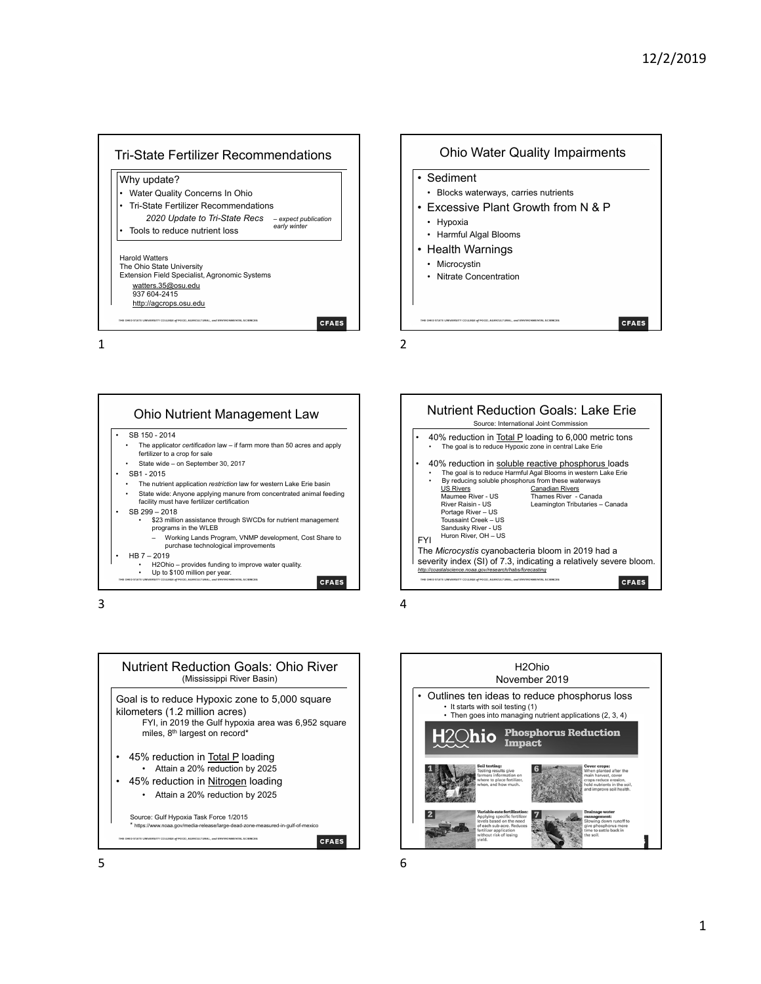







 $3<sup>4</sup>$ 

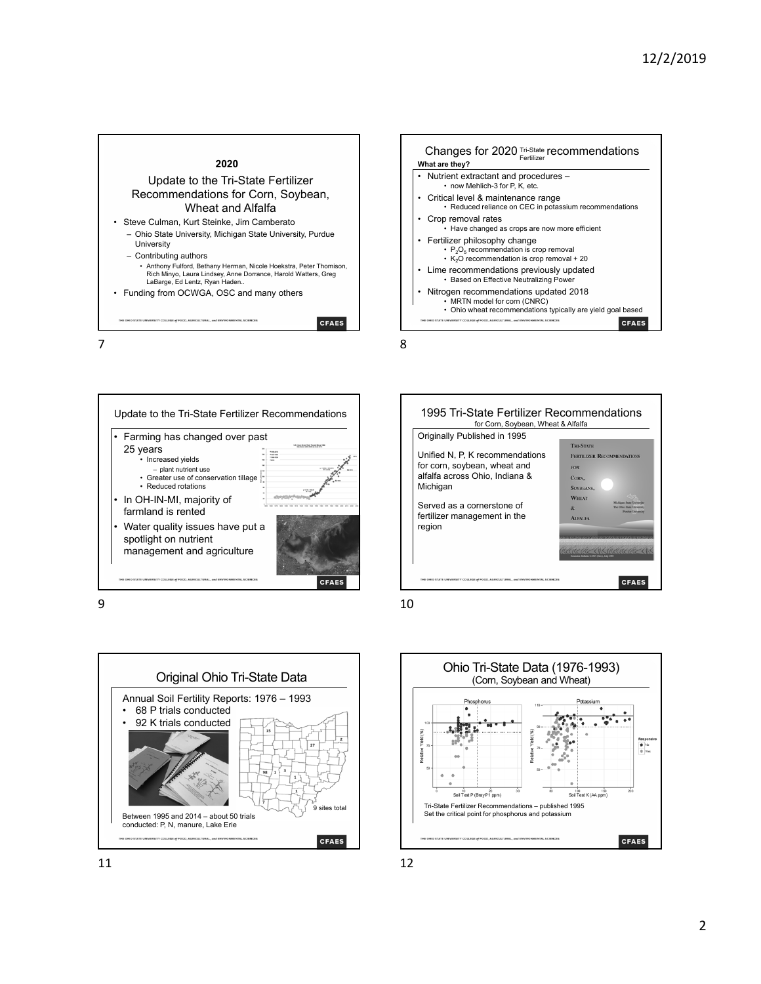









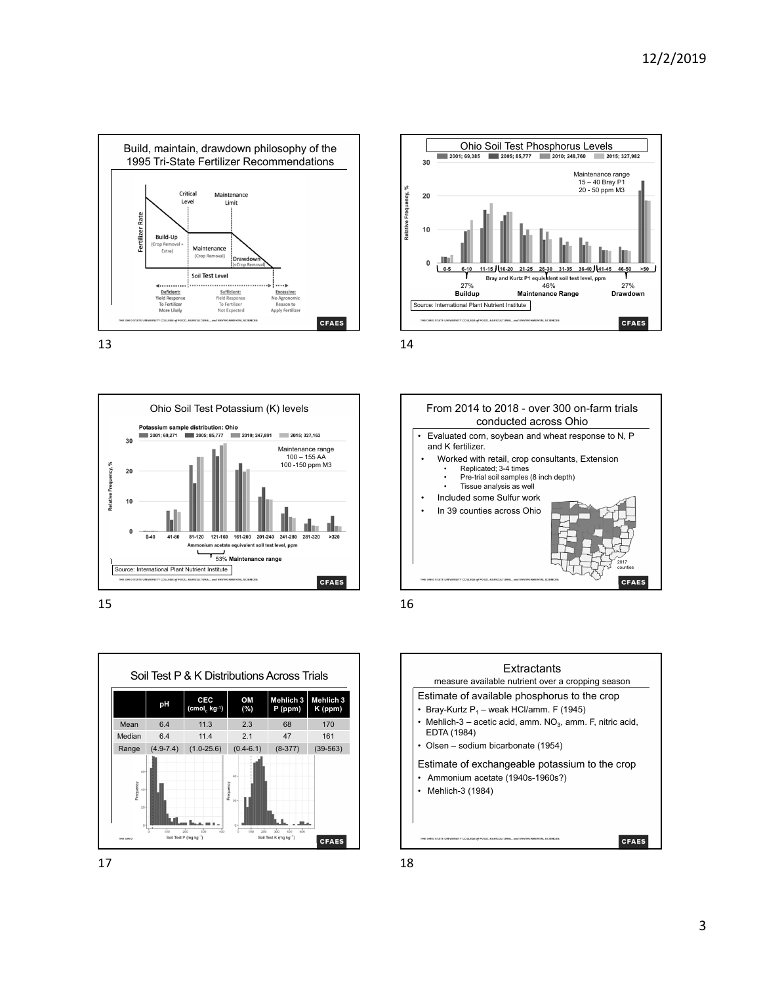











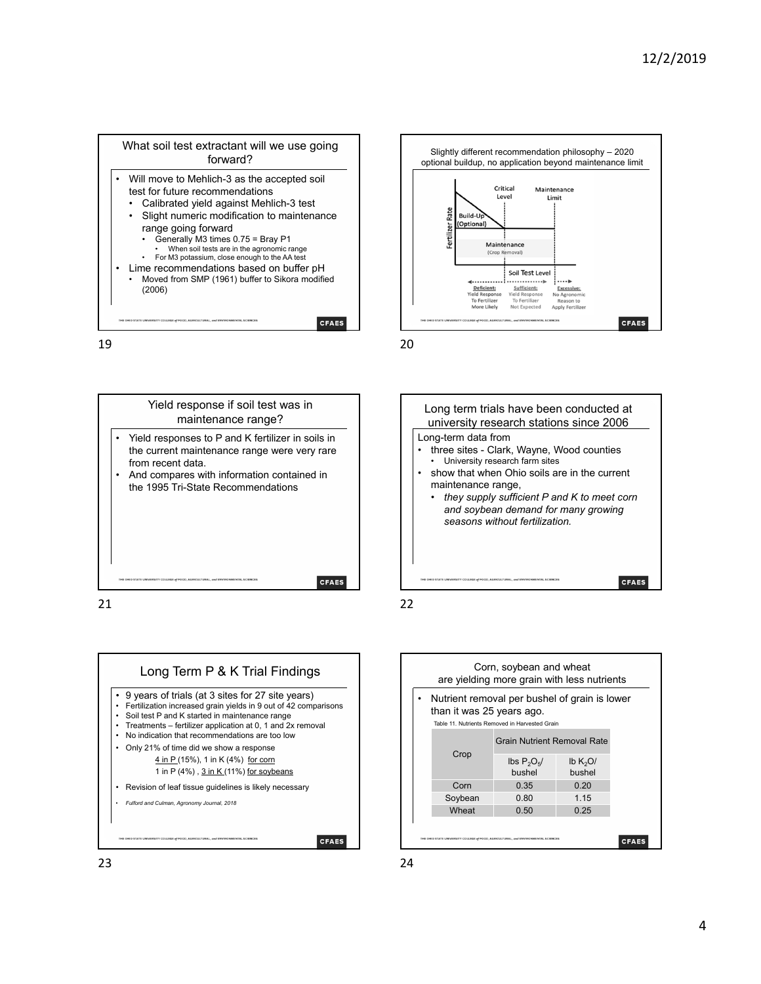





Yield response if soil test was in maintenance range? Yield responses to P and K fertilizer in soils in the current maintenance range were very rare from recent data. • And compares with information contained in the 1995 Tri-State Recommendations **CFAES** 







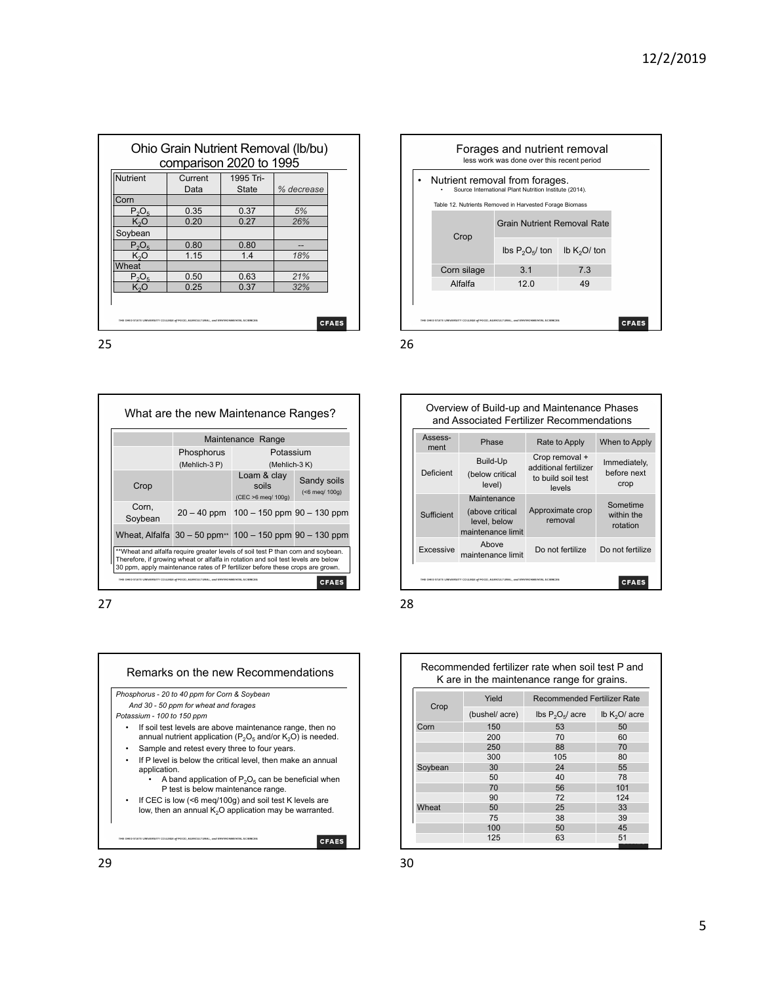| <b>Nutrient</b>  | Current | 1995 Tri-    |            |
|------------------|---------|--------------|------------|
|                  | Data    | <b>State</b> | % decrease |
| Corn             |         |              |            |
| $P_2O_5$         | 0.35    | 0.37         | 5%         |
| K <sub>2</sub> O | 0.20    | 0.27         | 26%        |
| Soybean          |         |              |            |
| $P_2O_5$         | 0.80    | 0.80         |            |
| $K_2O$           | 1.15    | 1.4          | 18%        |
| Wheat            |         |              |            |
| $P_2O_5$         | 0.50    | 0.63         | 21%        |
| $K_2O$           | 0.25    | 0.37         | 32%        |









Remarks on the new Recommendations Recommended fertilizer rate when soil test P and K are in the maintenance range for grains. Crop Yield Recommended Fertilizer Rate (bushel/ acre) lbs  $P_2O_5/$  acre lb  $K_2O/$  acre Corn 150 53 50 200 70 60 250 88 70<br>300 105 80 300 105 80<br>30 24 55 Soybean 30 24<br>50 40 50 40 78 70 56 101 90 72 124 Wheat 50 25 33 75 38 39 100 50 45 125 63 51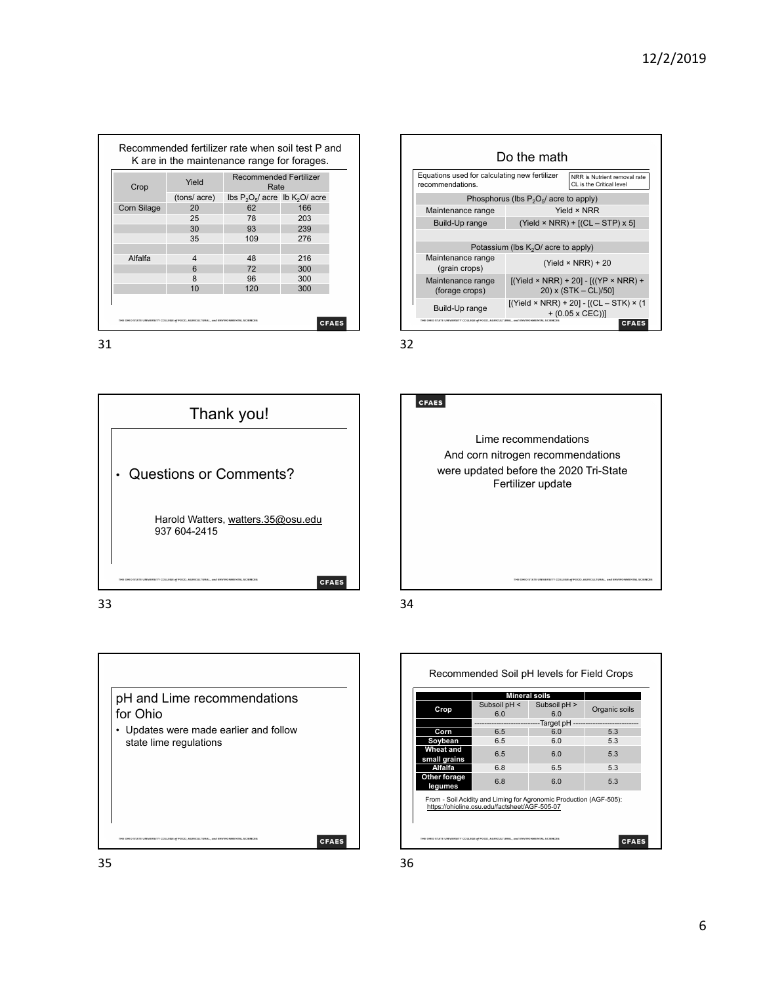| Crop               | Yield       | <b>Recommended Fertilizer</b><br>Rate |     |  |  |
|--------------------|-------------|---------------------------------------|-----|--|--|
|                    | (tons/acre) | lbs $P_2O_5$ acre lb $K_2O$ acre      |     |  |  |
| <b>Corn Silage</b> | 20          | 62                                    | 166 |  |  |
|                    | 25          | 78                                    | 203 |  |  |
|                    | 30          | 93                                    | 239 |  |  |
|                    | 35          | 109                                   | 276 |  |  |
|                    |             |                                       |     |  |  |
| Alfalfa            | 4           | 48                                    | 216 |  |  |
|                    | 6           | 72                                    | 300 |  |  |
|                    | 8           | 96                                    | 300 |  |  |
|                    | 10          | 120                                   | 300 |  |  |









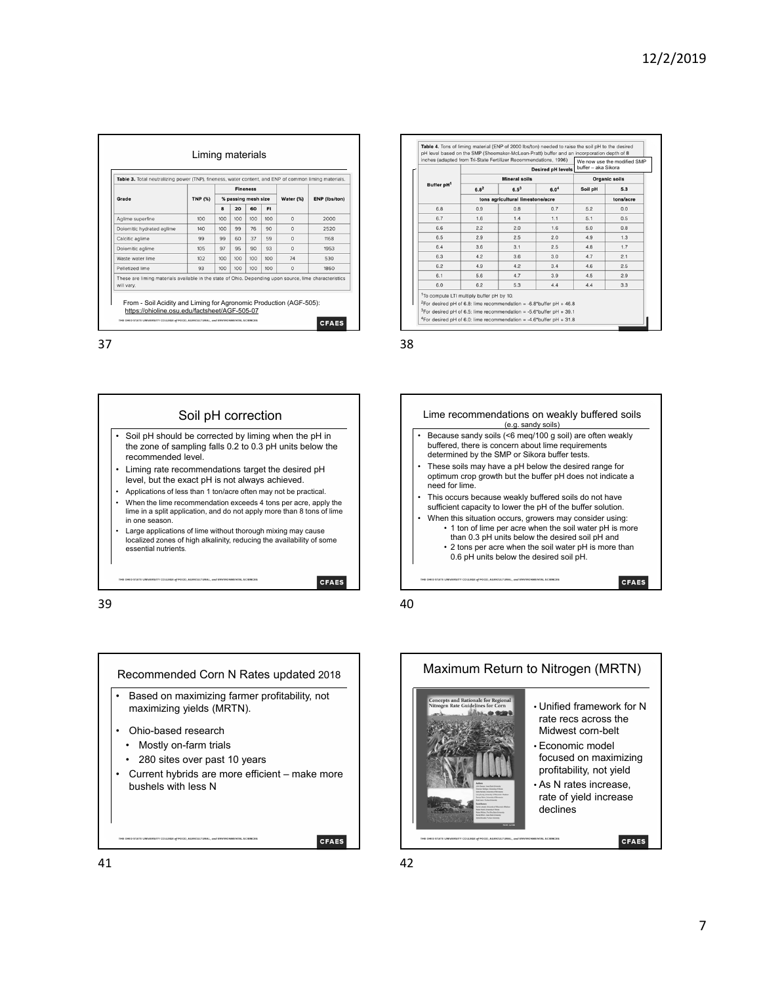|                                                                                                                      |                | <b>Fineness</b><br>% passing mesh size |     |     |           | Water (%) | <b>ENP (lbs/ton)</b> |
|----------------------------------------------------------------------------------------------------------------------|----------------|----------------------------------------|-----|-----|-----------|-----------|----------------------|
| Grade                                                                                                                | <b>TNP (%)</b> |                                        |     |     |           |           |                      |
|                                                                                                                      |                | 8                                      | 20  | 60  | <b>FI</b> |           |                      |
| Aglime superfine                                                                                                     | 100            | 100                                    | 100 | 100 | 100       | $\Omega$  | 2000                 |
| Dolomitic hydrated aglime                                                                                            | 140            | 100                                    | 99  | 76  | 90        | $\Omega$  | 2520                 |
| Calcitic aglime                                                                                                      | 99             | 99                                     | 60  | 37  | 59        | $\Omega$  | 1168                 |
| Dolomitic aglime                                                                                                     | 105            | 97                                     | 95  | 90  | 93        | $\Omega$  | 1953                 |
| Waste water lime                                                                                                     | 102            | 100                                    | 100 | 100 | 100       | 74        | 530                  |
| Pelletized lime                                                                                                      | 93             | 100                                    | 100 | 100 | 100       | $\Omega$  | 1860                 |
| These are liming materials available in the state of Ohio. Depending upon source, lime characteristics<br>will vary. |                |                                        |     |     |           |           |                      |





| Buffer pH <sup>1</sup> |                                  | inches (adapted from Tri-State Fertilizer Recommendations, 1996).<br><b>Desired pH levels</b> | We now use the modified SMP<br>buffer - aka Sikora<br>Organic soils |         |           |
|------------------------|----------------------------------|-----------------------------------------------------------------------------------------------|---------------------------------------------------------------------|---------|-----------|
|                        |                                  | <b>Mineral soils</b>                                                                          |                                                                     |         |           |
|                        | $6.8^{2}$                        | $6.5^{3}$                                                                                     | 6.0 <sup>4</sup>                                                    | Soil pH | 5.3       |
|                        | tons agricultural limestone/acre |                                                                                               |                                                                     |         | tons/acre |
| 6.8                    | 0.9                              | 0.8                                                                                           | 0.7                                                                 | 5.2     | 0.0       |
| 6.7                    | 1.6                              | 1.4                                                                                           | 1.1                                                                 | 5.1     | 0.5       |
| 6.6                    | 2.2                              | 2.0                                                                                           | 1.6                                                                 | 5.0     | 0.8       |
| 6.5                    | 2.9                              | 2.5                                                                                           | 2.0                                                                 | 4.9     | 1.3       |
| 6.4                    | 3.6                              | 3.1                                                                                           | 2.5                                                                 | 4.8     | 1.7       |
| 6.3                    | 4.2                              | 3.6                                                                                           | 3.0                                                                 | 4.7     | 2.1       |
| 6.2                    | 4.9                              | 4.2                                                                                           | 3.4                                                                 | 4.6     | 2.5       |
| 6.1                    | 5.6                              | 4.7                                                                                           | 3.9                                                                 | 4.5     | 2.9       |
| 6.0                    | 6.2                              | 5.3                                                                                           | 4.4                                                                 | 4.4     | 3.3       |





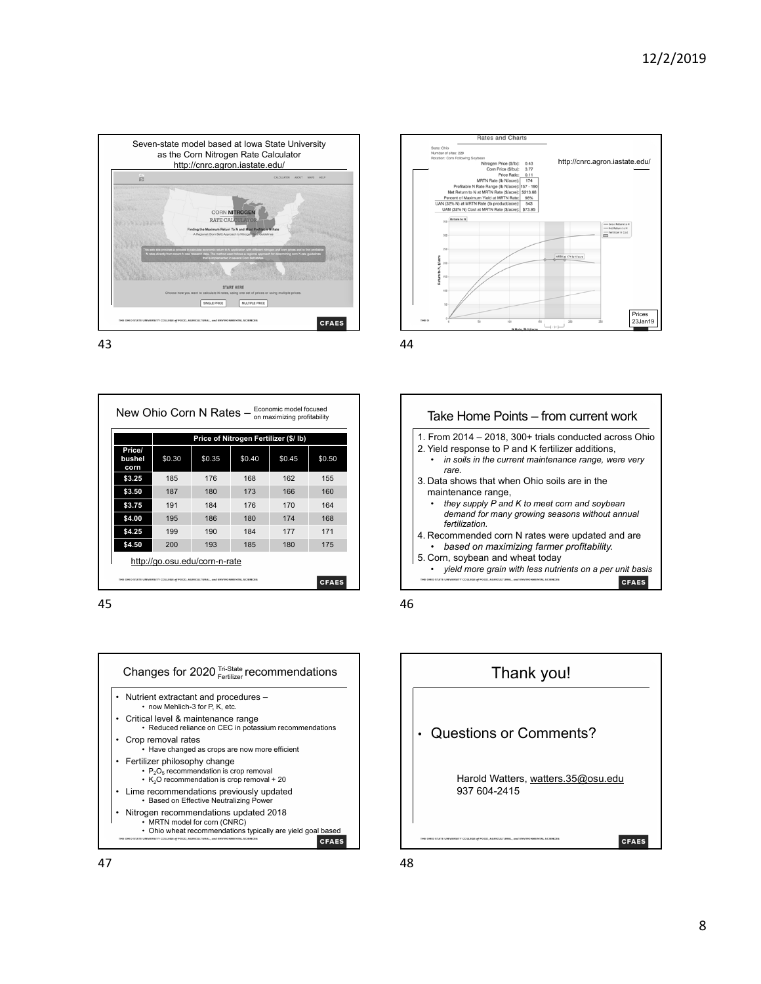



New Ohio Corn N Rates — Economic model focused **Price of Nitrogen Fertilizer (\$/ lb) Price/ bushel**   $$0.30$   $$0.35$   $$0.40$   $$0.45$   $$0.50$ **corn \$3.25** 185 176 168 162 155 **\$3.50** 187 180 173 166 160 **\$3.75** 191 184 176 170 164 **\$4.00** 195 186 180 174 168 **\$4.25** 199 190 184 177 171 **\$4.50** 200 193 185 180 175 http://go.osu.edu/corn-n-rate CFAES







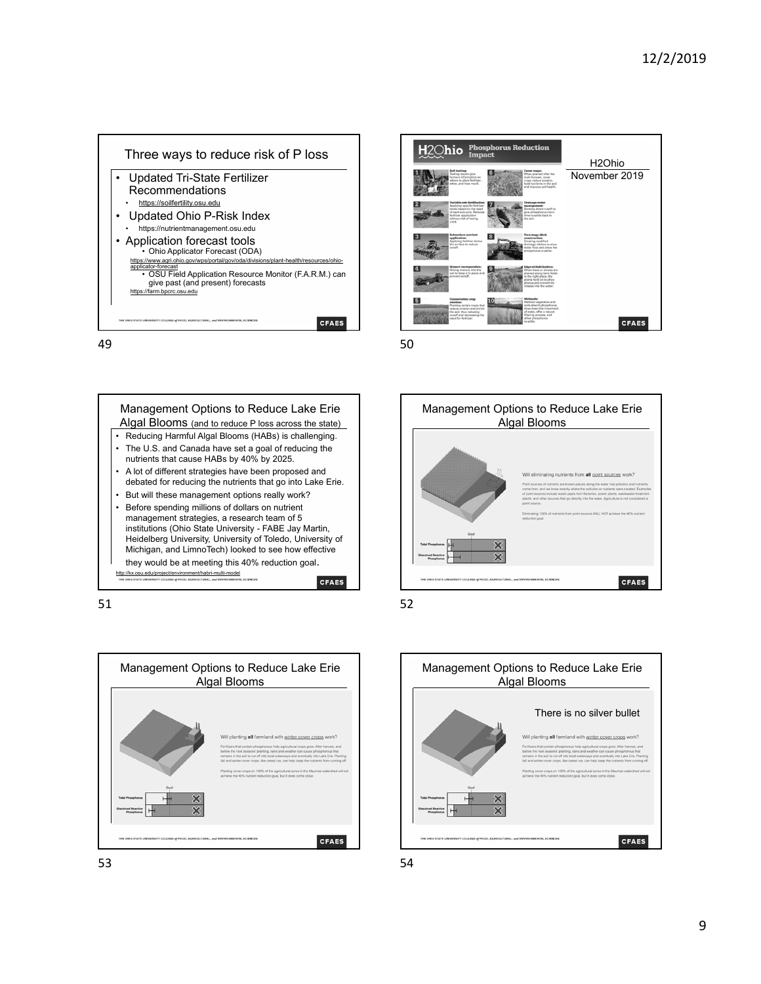